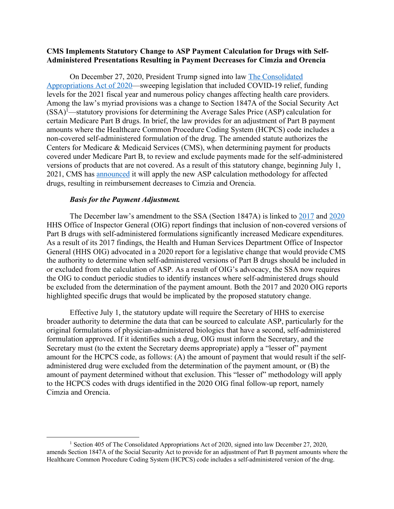## **CMS Implements Statutory Change to ASP Payment Calculation for Drugs with Self-Administered Presentations Resulting in Payment Decreases for Cimzia and Orencia**

On December 27, 2020, President Trump signed into law The Consolidated Appropriations Act of 2020—sweeping legislation that included COVID-19 relief, funding levels for the 2021 fiscal year and numerous policy changes affecting health care providers. Among the law's myriad provisions was a change to Section 1847A of the Social Security Act (SSA)1 —statutory provisions for determining the Average Sales Price (ASP) calculation for certain Medicare Part B drugs. In brief, the law provides for an adjustment of Part B payment amounts where the Healthcare Common Procedure Coding System (HCPCS) code includes a non-covered self-administered formulation of the drug. The amended statute authorizes the Centers for Medicare & Medicaid Services (CMS), when determining payment for products covered under Medicare Part B, to review and exclude payments made for the self-administered versions of products that are not covered. As a result of this statutory change, beginning July 1, 2021, CMS has announced it will apply the new ASP calculation methodology for affected drugs, resulting in reimbursement decreases to Cimzia and Orencia.

## *Basis for the Payment Adjustment.*

The December law's amendment to the SSA (Section 1847A) is linked to 2017 and 2020 HHS Office of Inspector General (OIG) report findings that inclusion of non-covered versions of Part B drugs with self-administered formulations significantly increased Medicare expenditures. As a result of its 2017 findings, the Health and Human Services Department Office of Inspector General (HHS OIG) advocated in a 2020 report for a legislative change that would provide CMS the authority to determine when self-administered versions of Part B drugs should be included in or excluded from the calculation of ASP. As a result of OIG's advocacy, the SSA now requires the OIG to conduct periodic studies to identify instances where self-administered drugs should be excluded from the determination of the payment amount. Both the 2017 and 2020 OIG reports highlighted specific drugs that would be implicated by the proposed statutory change.

Effective July 1, the statutory update will require the Secretary of HHS to exercise broader authority to determine the data that can be sourced to calculate ASP, particularly for the original formulations of physician-administered biologics that have a second, self-administered formulation approved. If it identifies such a drug, OIG must inform the Secretary, and the Secretary must (to the extent the Secretary deems appropriate) apply a "lesser of" payment amount for the HCPCS code, as follows: (A) the amount of payment that would result if the selfadministered drug were excluded from the determination of the payment amount, or (B) the amount of payment determined without that exclusion. This "lesser of" methodology will apply to the HCPCS codes with drugs identified in the 2020 OIG final follow-up report, namely Cimzia and Orencia.

 <sup>1</sup> Section 405 of The Consolidated Appropriations Act of 2020, signed into law December 27, 2020, amends Section 1847A of the Social Security Act to provide for an adjustment of Part B payment amounts where the Healthcare Common Procedure Coding System (HCPCS) code includes a self-administered version of the drug.